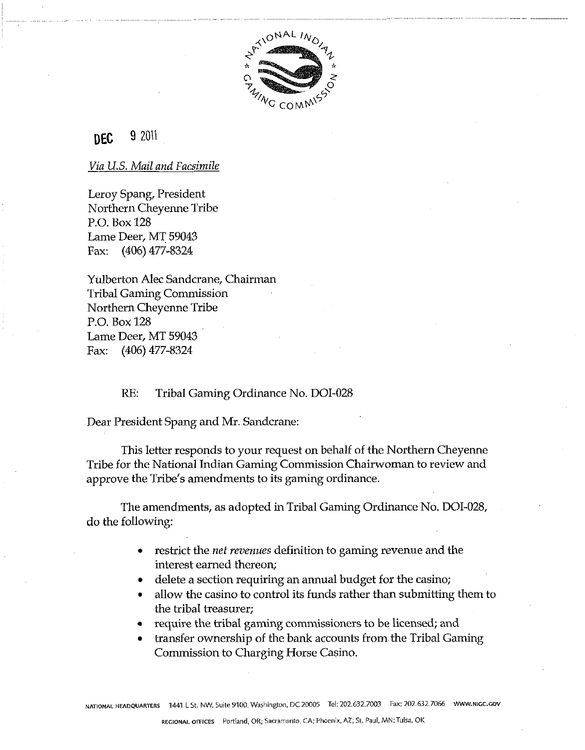

#### 9 2011 **DEC**

# *Via U.S. Mail and Facsimile*

Leroy Spang, President Northern Cheyenne Tribe P.O. Box 128 Lame Deer, MT 59043 Fax: (406) 477-8324

Yulberton Alec Sandcrane, Chairman Tribal Gaming Commission Northern Cheyenne Tribe P.O. Box 128 Lame Deer, MT 59043 Fax: (406) 477-8324

RE: Tribal Gaming Ordinance No. DOI-028

Dear President Spang and Mr. Sandcrane:

This letter responds to your request on behalf of the Northern Cheyenne Tribe for the National Indian Gaming Commission Chairwoman to review and approve the Tribe's amendments to its gaming ordinance.

The amendments, as adopted in Tribal Gaming Ordinance No. DOI-028, do the following:

- restrict the *net revenues* definition to gaming revenue and the interest earned thereon;
- delete a section requiring an annual budget for the casino;
- allow the casino to control its funds rather than submitting them to the tribal treasurer;
- require the tribal gaming commissioners to be licensed; and
- transfer ownership of the bank accounts from the Tribal Gaming Commission to Charging Horse Casino.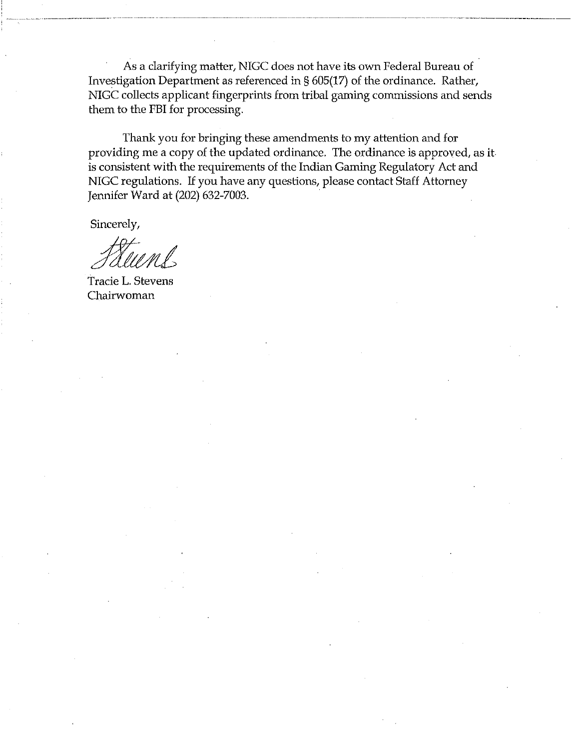As a clarifying matter, NIGC does not have its own Federal Bureau of Investigation Department as referenced in § 605(17) of the ordinance. Rather, NIGC collects applicant fingerprints from tribal gaming commissions and sends them to the FBI for processing.

Thank you for bringing these amendments to my attention and for providing me a copy of the updated ordinance. The ordinance is approved, as it is consistent with the requirements of the Indian Gaming Regulatory Act and NIGC regulations. If you have any questions, please contact Staff Attorney Jennifer Ward at (202) 632-7003.

Sincerely,

Tracie L. Stevens Chairwoman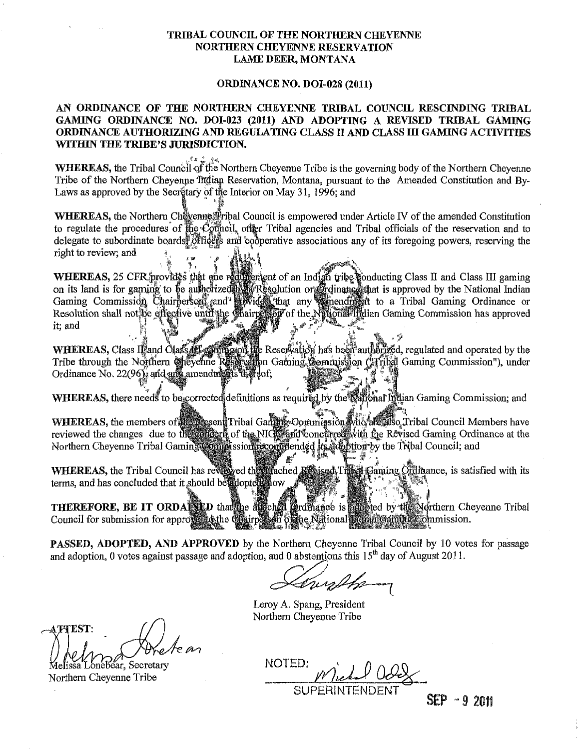# TRIBAL COUNCIL OF THE NORTHERN CHEYENNE NORTHERN CHEYENNE RESERVATION LAME DEER, MONTANA

#### ORDINANCE NO. DOI-028 (2011)

# AN ORDINANCE OF THE NORTHERN CHEYENNE TRIBAL COUNCIL RESCINDING TRIBAL GAMING ORDINANCE NO. DOI-023 (2011) AND ADOPTING A REVISED TRIBAL GAMING ORDINANCE AUTHORIZING AND REGULATING CLASS I1 AND CLASS I11 GAMING ACTIVITIES WITHIN THE TRIBE'S JURISDICTION.

, **i."** ll:>,, WHEREAS, the Tribal Council of the Northern Cheyenne Tribe is the governing body of the Northern Cheyenne Tribe of the Northern Cheyenne Indian Reservation, Montana, pursuant to the Amended Constitution and By-Laws as approved by the Secretary of the Interior on May 31, 1996; and

WHEREAS, the Northern Chevenne fribal Council is empowered under Article IV of the amended Constitution to regulate the procedures of the Cothicil, other Tribal agencies and Tribal officials of the reservation and to delegate to subordinate boards. Officers and cooperative associations any of its foregoing powers, reserving the right to review; and

WHEREAS, 25 CFR provides that one reducement of an Indian tribe conducting Class II and Class III gaming<br>on its land is for gaming to be authorized by a Resolution or Gridinance that is approved by the National Indian<br>Gami Resolution shall not be effective until the Chairperson of the National Indian Gaming Commission has approved it: and

WHEREAS, Class Ordinance No. 22(9

WHEREAS, there needs to be corrected definitions as required by the saftenal indian Gaming Commission; and

WHEREAS, the members of the present Tribal Garange Commission who are also Tribal Council Members have reviewed the changes due to the condent of the NIGC and concurred with the Revised Gaming Ordinance at the Northern Cheyenne Tribal Gaming Commission recommended traded by the Tribal Council; and

WHEREAS, the Tribal Council has reviewed the arached Revised Tribal Gaming Ordinance, is satisfied with its terms, and has concluded that it should be adopted now

THEREFORE, BE IT ORDAINED that the difficult ordinance is adjoined by the Northern Cheyenne Tribal Council for submission for approval to the Chairpets on of the National Indian Gammes Commission.

PASSED, ADOPTED, AND APPROVED by the Northern Cheyenne Tribal Council by 10 votes for passage PASSED, ADOPTED, AND APPROVED by the Northern Cheyenne Tribal Council by 10 vot<br>and adoption, 0 votes against passage and adoption, and 0 abstentions this 15<sup>th</sup> day of August 2011.

Leroy A. Spang, President Northern Cheyenne Tribe

**THEST:** 

Melissa Lonebear, Secretary<br>Northern Chevenne Tribe

NOTED: SUPERINTE

**SEP** - 9 2011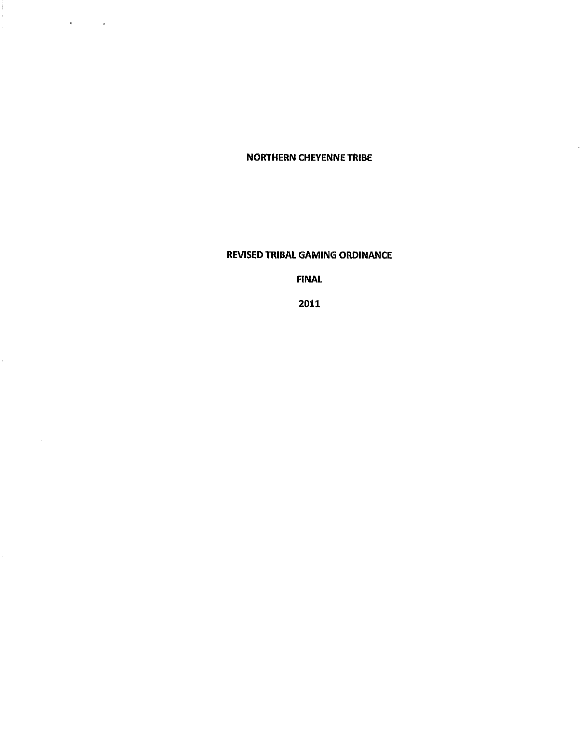**NORTHERN CHEYENNE TRIBE** 

à,

Ŷ,

 $\sim$ 

**Contractor** 

**REVISED TRIBAL GAMING ORDINANCE** 

**FINAL** 

**2011**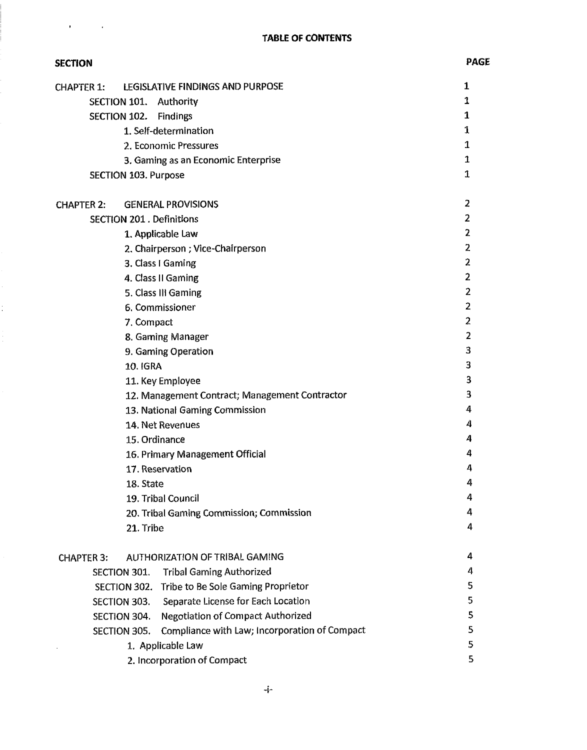$\mathbf{r}$ 

 $\mathcal{L}^{\text{max}}_{\text{max}}$ 

| <b>SECTION</b>                                                | <b>PAGE</b>    |
|---------------------------------------------------------------|----------------|
| LEGISLATIVE FINDINGS AND PURPOSE<br><b>CHAPTER 1.</b>         | 1              |
| SECTION 101. Authority                                        | 1              |
| SECTION 102. Findings                                         | 1              |
| 1. Self-determination                                         | 1              |
| 2. Economic Pressures                                         | 1              |
| 3. Gaming as an Economic Enterprise                           | 1              |
| <b>SECTION 103. Purpose</b>                                   | 1              |
| <b>GENERAL PROVISIONS</b><br><b>CHAPTER 2:</b>                | 2              |
| <b>SECTION 201. Definitions</b>                               | $\overline{2}$ |
| 1. Applicable Law                                             | 2              |
| 2. Chairperson; Vice-Chairperson                              | $\overline{2}$ |
| 3. Class I Gaming                                             | 2              |
| 4. Class II Gaming                                            | 2              |
| 5. Class III Gaming                                           | 2              |
| 6. Commissioner                                               | 2              |
| 7. Compact                                                    | 2              |
| 8. Gaming Manager                                             | 2              |
| 9. Gaming Operation                                           | 3              |
| <b>10. IGRA</b>                                               | 3              |
| 11. Key Employee                                              | 3              |
| 12. Management Contract; Management Contractor                | 3              |
| 13. National Gaming Commission                                | 4              |
| 14. Net Revenues                                              | 4              |
| 15. Ordinance                                                 | 4              |
| 16. Primary Management Official                               | 4              |
| 17. Reservation                                               | 4              |
| 18. State                                                     | 4              |
| 19. Tribal Council                                            | 4              |
| 20. Tribal Gaming Commission; Commission                      | 4              |
| 21. Tribe                                                     | 4              |
| AUTHORIZATION OF TRIBAL GAMING<br><b>CHAPTER 3:</b>           | 4              |
| <b>Tribal Gaming Authorized</b><br>SECTION 301.               | 4              |
| SECTION 302. Tribe to Be Sole Gaming Proprietor               | 5              |
| Separate License for Each Location<br>SECTION 303.            | 5              |
| <b>Negotiation of Compact Authorized</b><br>SECTION 304.      | 5              |
| Compliance with Law; Incorporation of Compact<br>SECTION 305. | 5              |
| 1. Applicable Law                                             | 5              |
| 2. Incorporation of Compact                                   | 5              |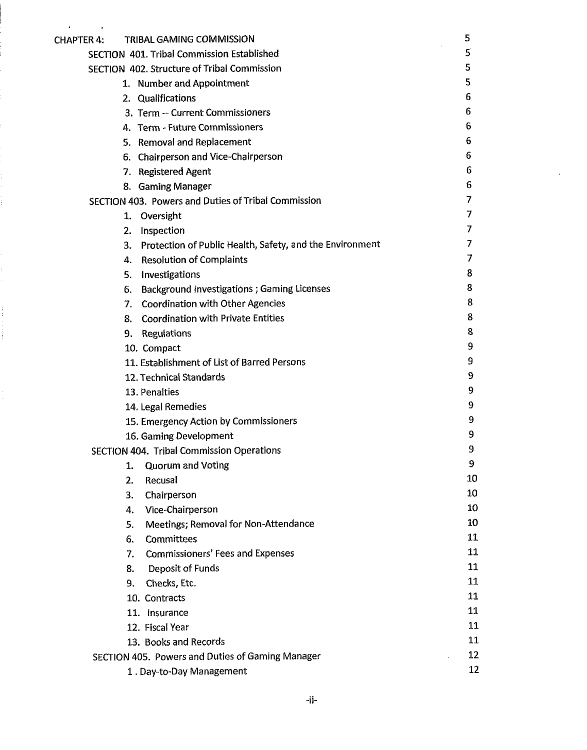| <b>CHAPTER 4:</b> | TRIBAL GAMING COMMISSION                                    | 5  |
|-------------------|-------------------------------------------------------------|----|
|                   | SECTION 401. Tribal Commission Established                  | 5  |
|                   | SECTION 402. Structure of Tribal Commission                 | 5  |
|                   | 1. Number and Appointment                                   | 5  |
|                   | 2. Qualifications                                           | 6  |
|                   | 3. Term - Current Commissioners                             | 6  |
|                   | 4. Term - Future Commissioners                              | 6  |
|                   | 5. Removal and Replacement                                  | 6  |
|                   | 6. Chairperson and Vice-Chairperson                         | 6  |
|                   | 7. Registered Agent                                         | 6  |
|                   | 8. Gaming Manager                                           | 6  |
|                   | SECTION 403. Powers and Duties of Tribal Commission         | 7  |
|                   | 1. Oversight                                                | 7  |
|                   | 2.<br>Inspection                                            | 7  |
|                   | 3. Protection of Public Health, Safety, and the Environment | 7  |
|                   | <b>Resolution of Complaints</b><br>4.                       | 7  |
|                   | Investigations<br>5.                                        | 8  |
|                   | <b>Background Investigations ; Gaming Licenses</b><br>6.    | 8  |
|                   | <b>Coordination with Other Agencies</b><br>7.               | 8  |
|                   | <b>Coordination with Private Entities</b><br>8.             | 8  |
|                   | 9. Regulations                                              | 8  |
|                   | 10. Compact                                                 | 9  |
|                   | 11. Establishment of List of Barred Persons                 | 9  |
|                   | 12. Technical Standards                                     | 9  |
|                   | 13. Penalties                                               | 9  |
|                   | 14. Legal Remedies                                          | 9  |
|                   | 15. Emergency Action by Commissioners                       | 9  |
|                   | 16. Gaming Development                                      | 9  |
|                   | <b>SECTION 404. Tribal Commission Operations</b>            | 9  |
|                   | <b>Quorum and Voting</b><br>1.                              | 9  |
|                   | Recusal<br>2.                                               | 10 |
|                   | 3.<br>Chairperson                                           | 10 |
|                   | Vice-Chairperson<br>4.                                      | 10 |
|                   | Meetings; Removal for Non-Attendance<br>5.                  | 10 |
|                   | Committees<br>6.                                            | 11 |
|                   | <b>Commissioners' Fees and Expenses</b><br>7.               | 11 |
|                   | Deposit of Funds<br>8.                                      | 11 |
|                   | 9.<br>Checks, Etc.                                          | 11 |
|                   | 10. Contracts                                               | 11 |
|                   | 11. Insurance                                               | 11 |
|                   | 12. Fiscal Year                                             | 11 |
|                   | 13. Books and Records                                       | 11 |
|                   | SECTION 405. Powers and Duties of Gaming Manager            | 12 |
|                   | 1. Day-to-Day Management                                    | 12 |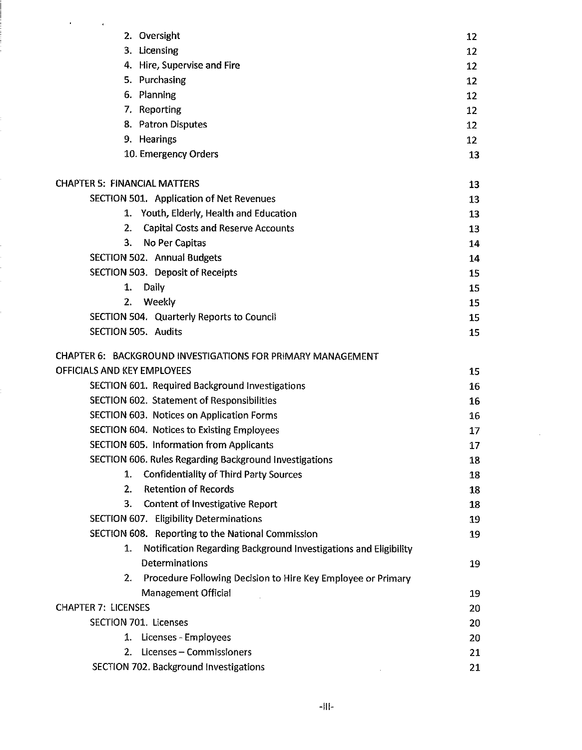| $\pmb{\ast}$                                                           |                 |
|------------------------------------------------------------------------|-----------------|
| 2. Oversight                                                           | 12              |
| 3. Licensing                                                           | 12              |
| 4. Hire, Supervise and Fire                                            | 12              |
| 5. Purchasing                                                          | 12              |
| 6. Planning                                                            | 12              |
| 7. Reporting                                                           | 12              |
| 8. Patron Disputes                                                     | 12 <sub>2</sub> |
| 9. Hearings                                                            | 12              |
| 10. Emergency Orders                                                   | 13              |
| <b>CHAPTER 5: FINANCIAL MATTERS</b>                                    | 13              |
| SECTION 501. Application of Net Revenues                               | 13              |
| 1. Youth, Elderly, Health and Education                                | 13              |
| <b>Capital Costs and Reserve Accounts</b><br>2.                        | 13              |
| 3.<br>No Per Capitas                                                   | 14              |
| <b>SECTION 502. Annual Budgets</b>                                     | 14              |
| SECTION 503. Deposit of Receipts                                       | 15              |
| Daily<br>1.                                                            | 15              |
| Weekly<br>2.                                                           | 15              |
| SECTION 504. Quarterly Reports to Council                              | 15              |
| SECTION 505. Audits                                                    | 15              |
| CHAPTER 6: BACKGROUND INVESTIGATIONS FOR PRIMARY MANAGEMENT            |                 |
| OFFICIALS AND KEY EMPLOYEES                                            | 15              |
| SECTION 601. Required Background Investigations                        | 16              |
| SECTION 602. Statement of Responsibilities                             | 16              |
| SECTION 603. Notices on Application Forms                              | 16              |
| SECTION 604. Notices to Existing Employees                             | 17              |
| <b>SECTION 605. Information from Applicants</b>                        | 17              |
| SECTION 606. Rules Regarding Background Investigations                 | 18              |
| Confidentiality of Third Party Sources<br>1.                           | 18              |
| <b>Retention of Records</b><br>2.                                      | 18              |
| <b>Content of Investigative Report</b><br>3.                           | 18              |
| <b>SECTION 607. Eligibility Determinations</b>                         | 19              |
| SECTION 608. Reporting to the National Commission                      | 19              |
| Notification Regarding Background Investigations and Eligibility<br>1. |                 |
| Determinations                                                         | 19              |
| Procedure Following Decision to Hire Key Employee or Primary<br>2.     |                 |
| <b>Management Official</b>                                             | 19              |
| <b>CHAPTER 7: LICENSES</b>                                             | 20              |
| <b>SECTION 701. Licenses</b>                                           | 20              |
| 1. Licenses - Employees                                                | 20              |
| Licenses - Commissioners<br>2.                                         | 21              |
| SECTION 702. Background Investigations                                 | 21              |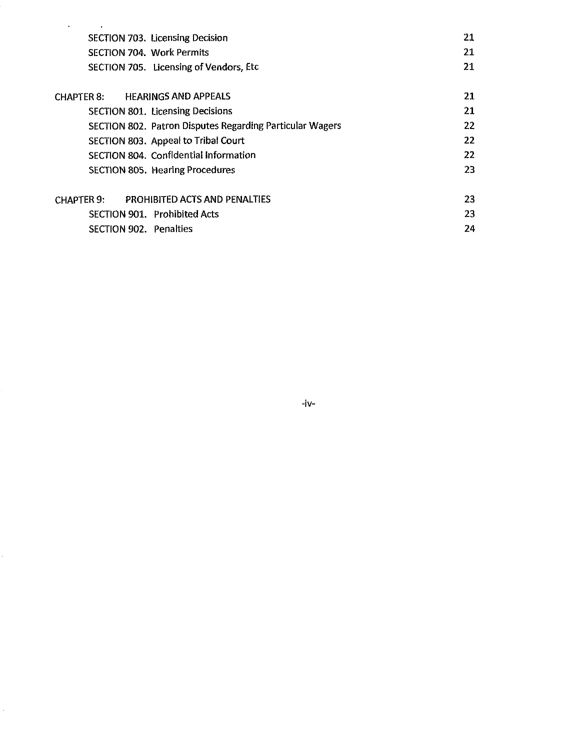| $\bullet$                                                       |    |
|-----------------------------------------------------------------|----|
| <b>SECTION 703. Licensing Decision</b>                          | 21 |
| <b>SECTION 704. Work Permits</b>                                | 21 |
| SECTION 705. Licensing of Vendors, Etc.                         | 21 |
| <b>HEARINGS AND APPEALS</b><br><b>CHAPTER 8.</b>                | 21 |
| SECTION 801. Licensing Decisions                                | 21 |
|                                                                 |    |
| <b>SECTION 802. Patron Disputes Regarding Particular Wagers</b> | 22 |
| SECTION 803. Appeal to Tribal Court                             | 22 |
| SECTION 804. Confidential Information                           | 22 |
| <b>SECTION 805. Hearing Procedures</b>                          | 23 |
| <b>PROHIBITED ACTS AND PENALTIES</b><br><b>CHAPTER 9:</b>       | 23 |
| <b>SECTION 901. Prohibited Acts</b>                             | 23 |
|                                                                 |    |
| <b>SECTION 902. Penalties</b>                                   | 24 |

 $-iv-$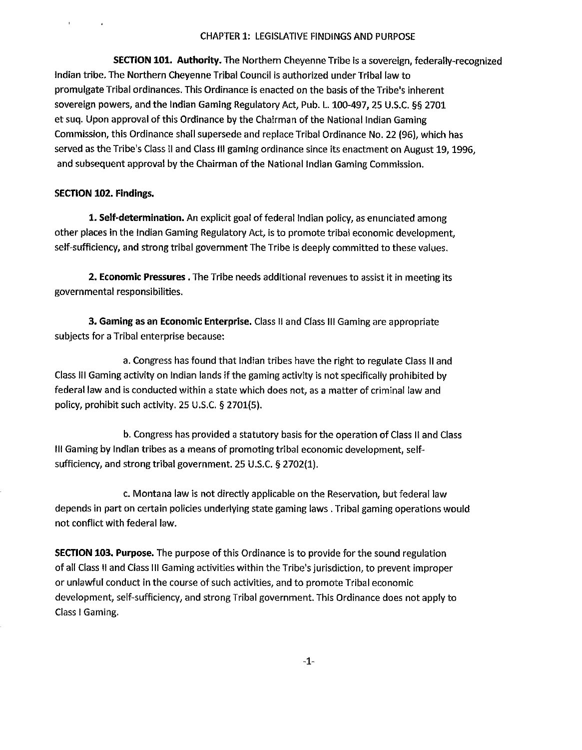# CHAPTER 1: LEGISLATIVE FINDINGS AND PURPOSE

SECTION 101. Authority. The Northern Cheyenne Tribe is a sovereign, federally-recognized lndian tribe. The Northern Cheyenne Tribal Council is authorized under Tribal law to promulgate Tribal ordinances. This Ordinance is enacted on the basis of the Tribe's inherent sovereign powers, and the lndian Gaming Regulatory Act, Pub. L. 100-497,25 U.S.C. **55** 2701 et suq. Upon approval of this Ordinance by the Chairman of the National lndian Gaming Commission, this Ordinance shall supersede and replace Tribal Ordinance No. 22 (96), which has served as the Tribe's Class II and Class III gaming ordinance since its enactment on August 19, 1996, and subsequent approval by the Chairman of the National lndian Gaming Commission.

# SECTION **102.** Findings.

**1.** Self-determination. An explicit goal of federal lndian policy, as enunciated among other places in the lndian Gaming Regulatoy Act, is to promote tribal economic development, self-sufficiency, and strong tribal government The Tribe is deeply committed to these values.

**2.** Economic Pressures. The Tribe needs additional revenues to assist it in meeting its governmental responsibilities.

3. Gaming as an Economic Enterprise. Class Ii and Class Ill Gaming are appropriate subjects for a Tribal enterprise because:

a. Congress has found that lndian tribes have the right to regulate Class II and Class Ill Gamingactivity on lndian lands if the gaming activity is not specifically prohibited by federal law and is conducted within a state which does not, as a matter of criminal law and policy, prohibit such activity. 25 U.S.C. 5 2701(5).

b. Congress has provided a statutory basis for the operation of Class II and Class Ill Gaming by lndian tribes as a means of promoting tribal economic development, selfsufficiency, and strong tribal government. 25 U.S.C. § 2702(1).

c. Montana law is not directly applicable on the Reservation, but federal law depends in part on certain policies underlying state gaming laws. Tribal gaming operations would not conflict with federal law.

SECTION **103.** Purpose. The purpose of this Ordinance is to provide for the sound regulation of all Class II and Class Ill Gaming activities within theTribels jurisdiction, to prevent improper or unlawful conduct in the course of such activities, and to promote Tribal economic development, self-sufficiency, and strong Tribal government. This Ordinance does not apply to Class I Gaming.

 $-1-$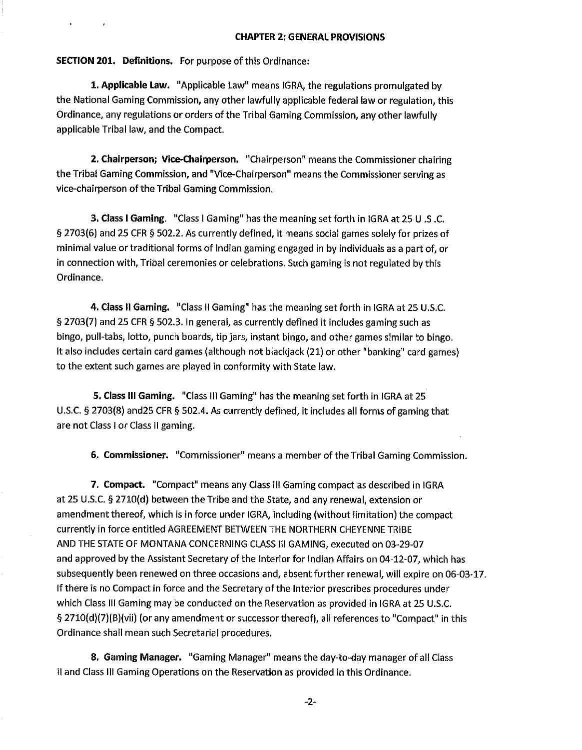#### CHAPTER **2:** GENERAL PROVISIONS

SECTION **201.** Definitions. For purpose of this Ordinance:

**1.** Applicable Law. "Applicable Law" means IGRA, the regulations promulgated by the National Gaming Commission, any other lawfully applicable federal law or regulation, this Ordinance, any regulations or orders of the Tribal Gaming Commission, any other lawfully applicable Tribal law, and the Compact.

**2.** Chairperson; Vice-Chairperson. "Chairperson" means the Commissioner chairing the Tribal Gaming Commission, and "Vice-Chairperson" means the Commissioner serving as vice-chairperson of the Tribal Gaming Commission.

3. Class I Gaming. "Class I Gaming" has the meaning set forth in IGRA at 25 U .S .C. § 2703(6) and 25 CFR § 502.2. As currently defined, it means social games solely for prizes of minimal value or traditional forms of Indian gaming engaged in by individuals as a part of, or in connection with, Tribal ceremonies or celebrations. Such gaming is not regulated by this Ordinance.

4. Class II Gaming. "Class II Gaming" has the meaning set forth in IGRA at 25 U.S.C. § 2703(7) and 25 CFR § 502.3. In general, as currently defined it includes gaming such as bingo, pull-tabs, lotto, punch boards, tip jars, instant bingo, and other games similar to bingo. It also includes certain card games (although not blackjack (21) or other "banking" card games) to the extent such games are played in conformity with State law.

**5.** Class Ill Gaming. "Class Ill Gaming" has the meaning set forth in IGRA at 25 U.S.C. § 2703(8) and25 CFR **9** 502.4. As currently defined, it includes all forms of gaming that are not Class I or Class II gaming.

**6.** Commissioner. "Commissioner" means a member of the Tribal Gaming Commission.

**7.** Compact. "Compact" means any Class Ill Gaming compact as described in IGRA at 25 U.S.C. § 2710(d) between the Tribe and the State, and any renewal, extension or amendment thereof, which is in force under IGRA, including (without limitation) the compact currently in force entitled AGREEMENT BETWEEN THE NORTHERN CHEYENNE TRIBE AND THE STATE OF MONTANA CONCERNING CLASS Ill GAMING, executed on 03-29-07 and approved by the Assistant Secretary of the lnterior for Indian Affairs on 04-12-07, which has subsequently been renewed on three occasions and, absent further renewal, will expire on 06-03-17. If there is no Compact in force and the Secretary of the Interior prescribes procedures under which Class Ill Gaming may be conducted on the Reservation as provided in IGRA at 25 U.S.C. **5** 2710(d)(7)(B)(vii) (or any amendment or successor thereof), all references to "Compact" in this Ordinance shall mean such Secretarial procedures.

**8.** Gaming Manager. "Gaming Manager" means the day-to-day manager of all Class II and Class Ill Gaming Operations on the Reservation as provided in this Ordinance.

 $-2-$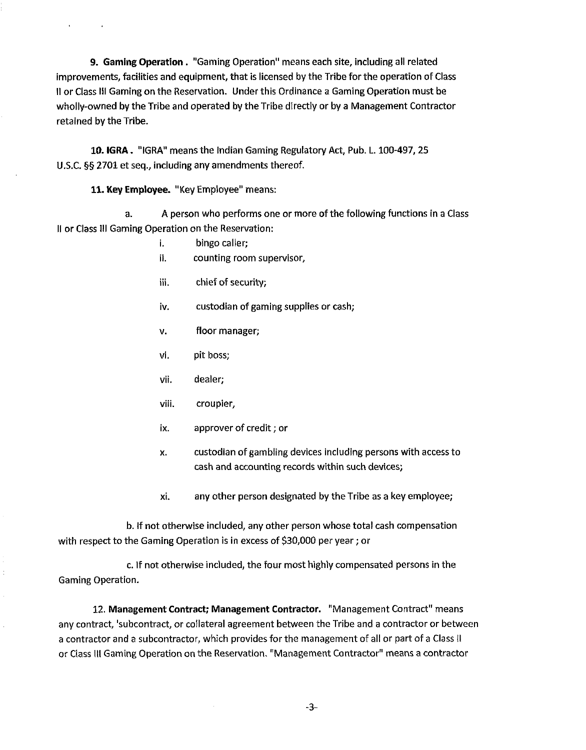**9.** Gaming Operation. "Gaming Operation" means each site, including all related improvements, facilities and equipment, that is licensed by the Tribe for the operation of Class II or Class Ill Gaming on the Reservation. Under this Ordinance a Gaming Operation must be wholly-owned by the Tribe and operated by the Tribe directly or by **a** Management Contractor retained by the Tribe.

**10.** IGRA . "IGRA" means the Indian Gaming Regulatory Act, Pub. L. 100-497,2S U.S.C. **55** 2701 et seq., including any amendments thereof.

11. Key Employee. "Key Employee" means:

a. A person who performs one or more of the following functions in a Class II or Class Ill Gaming Operation on the Reservation:

- i. bingo caller;
- ii. counting room supervisor,
- iii. chief of security;
- iv. custodian of gaming supplies or cash;
- v. floor manager;
- vi. pit boss;
- vii. dealer;
- viii. croupier,
- ix. approver of credit; or
- x. custodian of gambling devices including persons with access to cash and accounting records within such devices;
- xi. any other person designated by the Tribe as a key employee;

b. If not otherwise included, any other person whose total cash compensation with respect to the Gaming Operation is in excess of \$30,000 per year; or

c. If not otherwise included, the four most highly compensated persons in the Gaming Operation.

12. Management Contract; Management Contractor. "Management Contract" means any contract, 'subcontract, or collateral agreement between the Tribe and a contractor or between a contractor and a subcontractor, which provides for the management of all or part of a Class iI or Class Ill Gaming Operation on the Reservation. "Management Contractor" means a contractor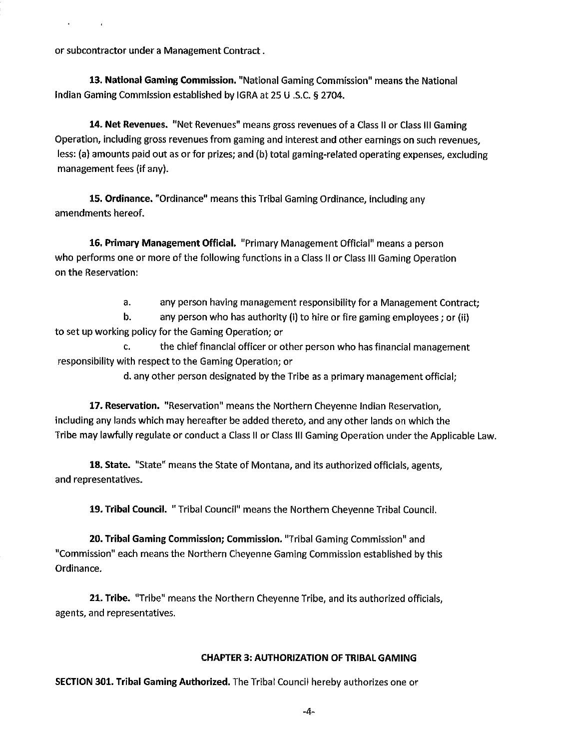or subcontractor under a Management Contract.

**13.** National Gaming Commission. "National Gaming Commission" means the National Indian Gaming Commission established by IGRA at 25 U .S.C. **5** 2704.

**14.** Net Revenues. "Net Revenues" means gross revenues of a Class I1 or Class Ill Gaming Operation, including gross revenues from gaming and interest and other earnings on such revenues, less: (a) amounts paid out as or for prizes; and (b) total gaming-related operating expenses, excluding management fees (if any).

**15.** Ordinance. "Ordinance" means this Tribal Gaming Ordinance, including any amendments hereof.

**16.** Primary Management Official. "Primary Management Official" means a person who performs one or more of the following functions in a Class II or Class III Gaming Operation on the Reservation:

a. any person having management responsibility for a Management Contract;

b. any person who has authority (i) to hire or fire gaming employees; or (ii) to set up working policy for the Gaming Operation; or

c. the chief financial officer or other person who has financial management responsibility with respect to the Gaming Operation; or

d. any other person designated by the Tribe as a primary management official;

**17.** Reservation. "Reservation" means the Northern Cheyenne Indian Reservation, including any lands which may hereafter be added thereto, and any other lands on which the Tribe may lawfully regulate or conduct a Class II or Class Ill Gaming Operation under the Applicable Law.

**18.** State. "State" means the State of Montana, and its authorized officials, agents, and representatives.

19. Tribal Council. "Tribal Council" means the Northern Cheyenne Tribal Council.

**20.** Tribal Gaming Commission; Commission. "Tribal Gaming Commission" and "Commission" each means the Northern Cheyenne Gaming Commission established by this Ordinance.

**21.** Tribe. "Tribe" means the Northern Cheyenne Tribe, and its authorized officials, agents, and representatives.

# CHAPTER **3:** AUTHORIZATION **OF** TRIBAL GAMING

SECTION 301. Tribal Gaming Authorized. The Tribal Council hereby authorizes one or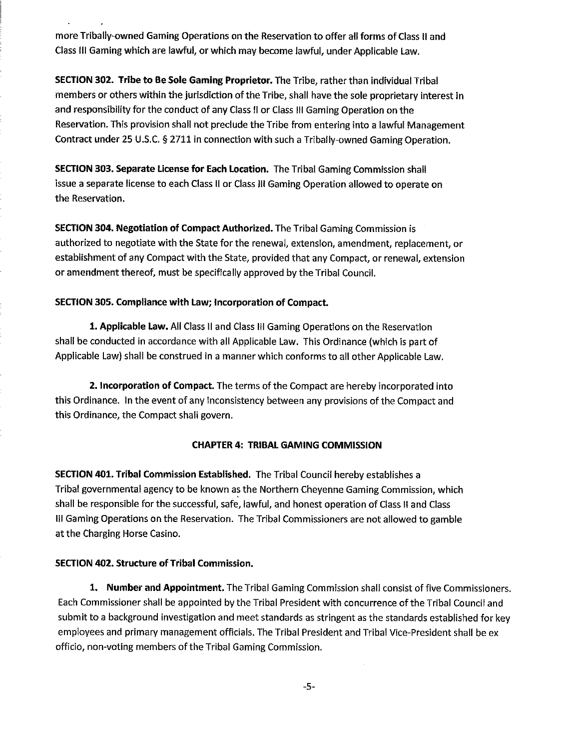more Tribally-owned Gaming Operations on the Reservation to offer all forms of Class II and Class Ill Gaming which are lawful, or which may become lawful, under Applicable Law.

SECTION **302.** Tribe to Be Sole Gaming Proprietor. The Tribe, rather than individual Tribal members or others within the jurisdiction of the Tribe, shall have the sole proprietary interest in and responsibility for the conduct of any Class II or Class Ill Gaming Operation on the Reservation. This provision shall not preclude the Tribe from entering into a lawful Management Contract under 25 U.S.C. § 2711 in connection with such a Tribally-owned Gaming Operation.

SECTION **303.** Separate License for Each Location. The Tribal Gaming Commission shall issue a separate license to each Class II or Class Ill Gaming Operation allowed to operate on the Reservation.

SECTION **304.** Negotiation of Compact Authorized. The Tribal Gaming Commission is authorized to negotiate with the State for the renewal, extension, amendment, replacement, or establishment of any Compact with the State, provided that any Compact, or renewal, extension or amendment thereof, must be specifically approved by the Tribal Council.

#### SECTION **305.** Compliance with Law; lncorporation of Compact.

1. Applicable Law. All Class II and Class IiI Gaming Operations on the Reservation shall be conducted in accordance with all Applicable Law. This Ordinance (which is part of Applicable Law) shall be construed in a manner which conforms to all other Applicable Law,

**2.** Incorporation of Compact. The terms of the Compact are hereby incorporated into this Ordinance. In the event of any inconsistency between any provisions of the Compact and this Ordinance, the Compact shall govern.

# CHAPTER **4:** TRIBAL GAMING COMMISSION

SECTION **401.** Tribal Commission Established. The Tribal Council hereby establishes a Tribal governmental agency to be known as the Northern Cheyenne Gaming Commission, which shall be responsible for the successful, safe, lawful, and honest operation of Class II and Class Ill Gaming Operations on the Reservation. The Tribal Commissioners are not allowed to gamble at the Charging Horse Casino.

#### SECTION **402.** Structure of Tribal Commission.

1. Number and Appointment. The Tribal Gaming Commission shall consist of five Commissioners. Each Commissioner shall be appointed by the Tribal President with concurrence of the Tribal Council and submit to a background investigation and meet standards as stringent as the standards established for key employees and primary management officials. The Tribal President and Tribal Vice-President shall be ex officio, non-voting members of the Tribal Gaming Commission.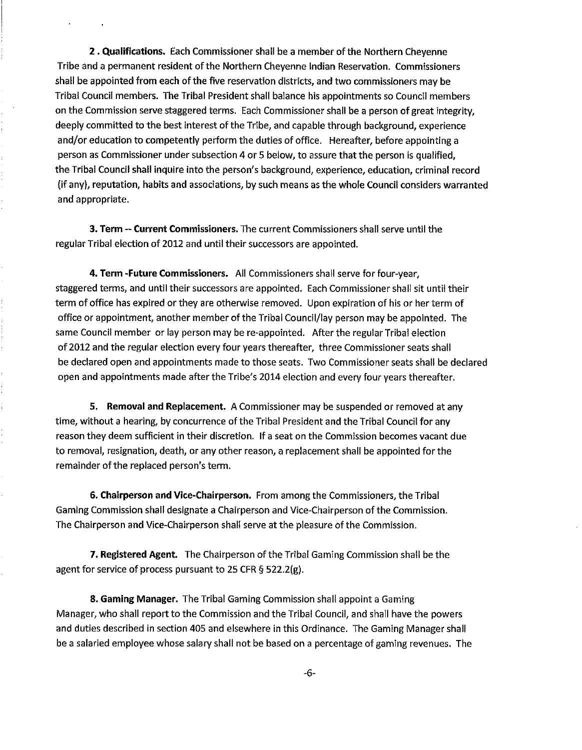**2.** Qualifications. Each Commissioner shall be a member of the Northern Cheyenne Tribe and a permanent resident of the Northern Cheyenne Indian Reservation. Commissioners shall be appointed from each of the five reservation districts, and two commissioners may be Tribal Council members. The Tribal President shall balance his appointments so Council members on the Commission serve staggered terms. Each Commissioner shall be a person of great integrity, deeply committed to the best interest of the Tribe, and capable through background, experience and/or education to competently perform the duties of office. Hereafter, before appointing a person as Commissioner under subsection 4 or 5 below, to assure that the person is qualified, the Tribal Council shall inquire into the person's background, experience, education, criminal record (if any), reputation, habits and associations, by such means as the whole Council considers warranted and appropriate.

3. Term -- Current Commissioners. The current Commissioners shall serve until the regular Tribal election of 2012 and until their successors are appointed.

**4.** Term -Future Commissioners. Ail Commissioners shall serve for four-year, staggered terms, and until their successors are appointed. Each Commissioner shall sit until their term of office has expired or they are otherwise removed. Upon expiration of his or her term of office or appointment, another member of the Tribal Council/lay person may be appointed. The same Council member or lay person may be re-appointed. After the regular Tribal election of 2012 and the regular election every four years thereafter, three Commissioner seats shall be declared open and appointments made to those seats. Two Commissioner seats shall be declared open and appointments made after the Tribe's 2014 election and every four years thereafter.

**5.** Removal and Replacement. A Commissioner may be suspended or removed at any time, without a hearing, by concurrence of the Tribal President and the Tribal Council for any reason they deem sufficient in their discretion. If a seat on the Commission becomes vacant due to removal, resignation, death, or any other reason, a replacement shall be appointed for the remainder of the replaced person's term.

**6.** Chairperson and Vice-Chairperson. From among the Commissioners, the Tribal Gaming Commission shall designate a Chairperson and Vice-Chairperson of the Commission. The Chairperson and Vice-Chairperson shall serve at the pleasure of the Commission.

**7.** Registered Agent. The Chairperson of the Tribal Gaming Commission shall be the agent for service of process pursuant to 25 CFR **5** 522.2(g).

**8.** Gaming Manager. The Tribal Gaming Commission shall appoint a Gaming Manager, who shall report to the Commission and theTribal Council, and shall have the powers and duties described in section 405 and elsewhere in this Ordinance. The Gaming Manager shall be a salaried employee whose salary shall not be based on a percentage of gaming revenues. The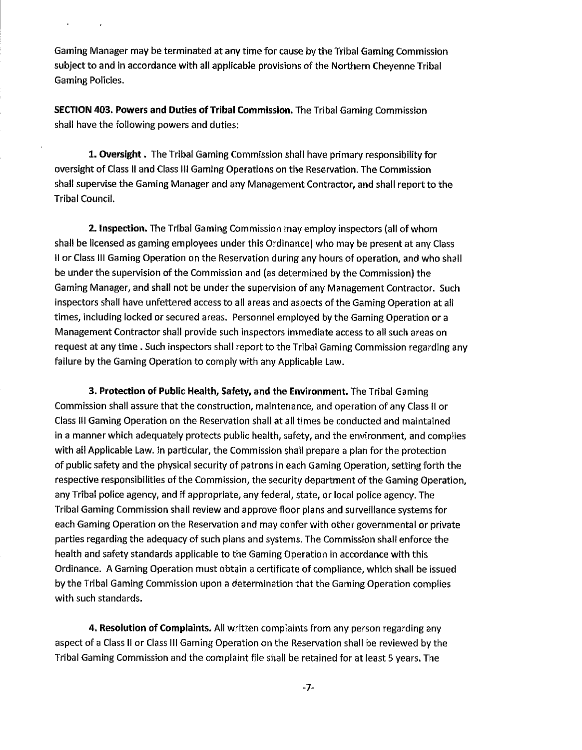Gaming Manager may be terminated at any time for cause by the Tribal Gaming Commission subject to and in accordance with all applicable provisions of the Northern Cheyenne Tribal Gaming Policies.

SECTION **403.** Powers and Duties of Tribal Commission. The Tribal Gaming Commission shall have the following powers and duties:

1. Oversight. The Tribal Gaming Commission shall have primary responsibility for oversight of Class II and Class Ill Gaming Operations on the Reservation. The Commission shall supervise the Gaming Manager and any Management Contractor, and shall report to the Tribal Council.

**2. Inspection.** The Tribal Gaming Commission may employ inspectors (all of whom shall be licensed as gaming employees under this Ordinance) who may be present at any Class II or Class Ill Gaming Operation on the Reservation during any hours of operation, and who shall be under the supervision of the Commission and (as determined by the Commission) the Gaming Manager, and shall not be under the supervision of any Management Contractor. Such inspectors shall have unfettered access to all areas and aspects of the Gaming Operation at all times, including locked or secured areas. Personnel employed by the Gaming Operation or a Management Contractor shall provide such inspectors immediate access to all such areas on request at any time. Such inspectors shall report to the Tribal Gaming Commission regarding any failure by the Gaming Operation to comply with any Applicable Law.

3. Protection of Public Health, Safety, and the Environment. The Tribal Gaming Commission shall assure that the construction, maintenance, and operation of any Class ll or Class Ill Gaming Operation on the Reservation shall at all times be conducted and maintained in a manner which adequately protects public health, safety, and the environment, and complies with all Applicable Law. In particular, the Commission shall prepare a plan for the protection of public safety and the physical security of patrons in each Gaming Operation, setting forth the respective responsibilities of the Commission, the security department of the Gaming Operation, any Tribal police agency, and if appropriate, any federal, state, or local police agency. The Tribal Gaming Commission shall review and approve floor plans and surveillance systems for each Gaming Operation on the Reservation and may confer with other governmental or private parties regarding the adequacy of such plans and systems. The Commission shall enforce the health and safety standards applicable to the Gaming Operation in accordance with this Ordinance. A Gaming Operation must obtain a certificate of compliance, which shall be issued by the Tribal Gaming Commission upon a determination that the Gaming Operation complies with such standards.

4. Resolution of Complaints. All written complaints from any person regarding any aspect of a Class Ii or Class Ill Gaming Operation on the Reservation shall be reviewed by the Tribal Gaming Commission and the complaint file shall be retained for at least 5 years. The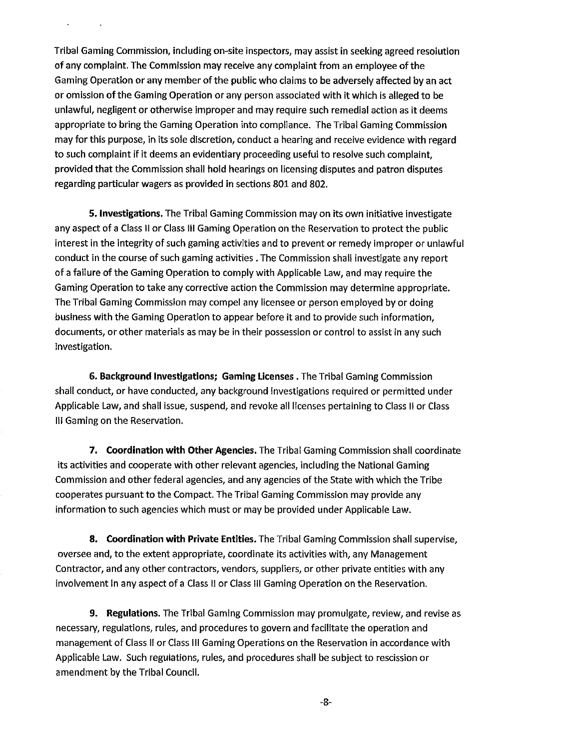Tribal Gaming Commission, including on-site inspectors, may assist in seeking agreed resolution of any complaint. The Commission may receive any complaint from an employee of the Gaming Operation or any member of the public who claims to be adversely affected by an act or omission of the Gaming Operation or any person associated with it which is alleged to be unlawful, negligent or otherwise improper and may require such remedial action as it deems appropriate to bring the Gaming Operation into compliance. The Tribal Gaming Commission may for this purpose, in its sole discretion, conduct a hearing and receive evidence with regard to such complaint if it deems an evidentiary proceeding useful to resolve such complaint, provided that the Commission shall hold hearings on licensing disputes and patron disputes regarding particular wagers as provided in sections 801 and 802.

**5.** investigations. The Tribal Gaming Commission may on its own initiative investigate any aspect of a Class II or Class Ill Gaming Operation on the Reservation to protect the public interest in the integrity of such gaming activities and to prevent or remedy improper or unlawful conduct in the course of such gaming activities. The Commission shall investigate any report of a failure of the Gaming Operation to comply with Applicable Law, and may require the Gaming Operation to take any corrective action the Commission may determine appropriate. The Tribal Gaming Commission may compel any licensee or person employed by or doing business with the Gaming Operation to appear before it and to provide such information, documents, or other materials as may be in their possession or control to assist in any such investigation.

**6.** Background Investigations; Gaming Licenses. The Tribal Gaming Commission shall conduct, or have conducted, any background investigations required or permitted under Applicable Law, and shall issue, suspend, and revoke all licenses pertaining to Class Ii or Class Ill Gaming on the Reservation.

**7.** Coordination with Other Agencies. The Tribal Gaming Commission shall coordinate its activities and cooperate with other relevant agencies, including the National Gaming Commission and other federal agencies, and any agencies of the State with which the Tribe cooperates pursuant to the Compact. The Tribal Gaming Commission may provide any information to such agencies which must or may be provided under Applicable Law.

**8.** Coordination with Private Entities. The Tribal Gaming Commission shall supervise, oversee and, to the extent appropriate, coordinate its activities with, any Management Contractor, and any other contractors, vendors, suppliers, or other private entities with any involvement in any aspect of a Class II or Class Ill Gaming Operation on the Reservation.

**9.** Regulations. The Tribal Gaming Commission may promulgate, review, and revise as necessary, regulations, rules, and procedures to govern and facilitate the operation and management of Class II or Class Ill Gaming Operations on the Reservation in accordance with Applicable Law. Such regulations, rules, and procedures shall be subject to rescission or amendment by the Tribal Council.

-8-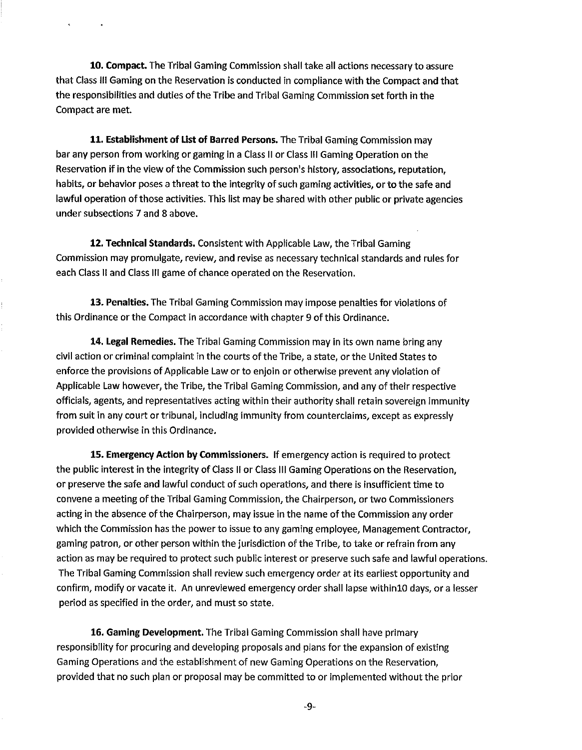10. Compact. The Tribal Gaming Commission shall take all actions necessary to assure that Class Ill Gaming on the Reservation is conducted in compliance with the Compact and that the responsibilities and duties of the Tribe and Tribal Gaming Commission set Forth in the Compact are met.

11. Establishment of List of Barred Persons. The Tribal Gaming Commission may bar any person from working or gaming in a Class II or Class Ill Gaming Operation on the Reservation if in the view of the Commission such person's history, associations, reputation, habits, or behavior poses a threat to the integrity of such gaming activities, or to the safe and lawful operation of those activities. This list may be shared with other public or private agencies under subsections 7 and 8 above.

12. Technical Standards. Consistent with Applicable Law, the Tribal Gaming Commission may promulgate, review, and revise as necessary technical standards and rules for each Class II and Class Ill game of chance operated on the Reservation.

13. Penalties. The Tribal Gaming Commission may impose penalties for violations of this Ordinance or the Compact in accordance with chapter 9 of this Ordinance.

14. Legal Remedies. The Tribal Gaming Commission may in its own name bring any civil action or criminal complaint in the courts of the Tribe, a state, or the United States to enforce the provisions of Applicable Law or to enjoin or otherwise prevent any violation of Applicable Law however, the Tribe, the Tribal Gaming Commission, and any of their respective officials, agents, and representatives acting within their authority shall retain sovereign immunity from suit in any court or tribunal, including immunity from counterciaims, except as expressly provided otherwise in this Ordinance.

15. Emergency Action **by** Commissioners. If emergency action is required to protect the public interest in the integrity of Class II or Class Ill Gaming Operations on the Reservation, or preserve the safe and lawful conduct of such operations, and there is insufficient time to convene a meeting of the Tribal Gaming Commission, the Chairperson, or two Commissioners acting in the absence of the Chairperson, may issue in the name of the Commission any order which the Commission has the power to issue to any gaming employee, Management Contractor, gaming patron, or other person within the jurisdiction **of** the Tribe, to take or refrain from any action as may be required to protect such public interest or preserve such safe and lawful operations. The Tribal Gaming Commission shall review such emergency order at its earliest opportunity and confirm, modify or vacate it. An unreviewed emergency order shall lapse within10 days, or a lesser period as specified in the order, and must so state.

**16.** Gaming Development. The Tribal Gaming Commission shall have primary responsibility for procuring and developing proposals and plans for the expansion of existing Gaming Operations and the establishment of new Gaming Operations on the Reservation, provided that no such plan or proposal may be committed to or implemented without the prior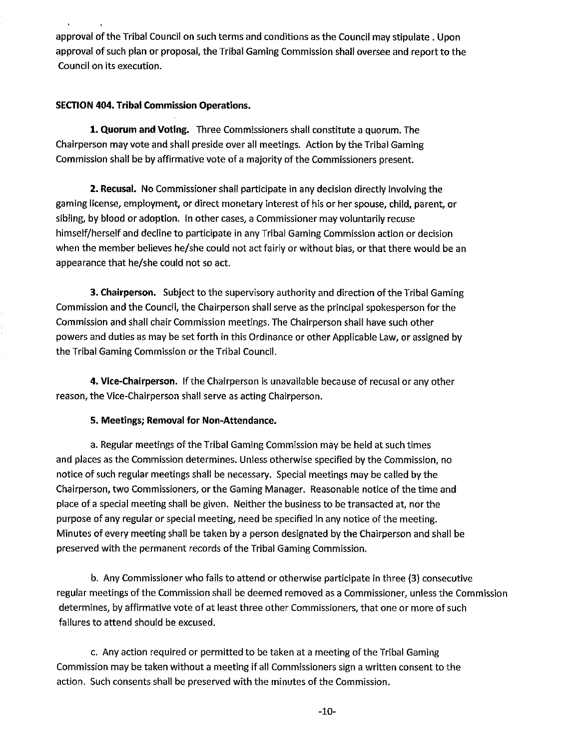approval of the Tribal Council on such terms and conditions as the Council may stipulate. Upon approval of such plan or proposal, the Tribal Gaming Commission shall oversee and report to the Council on its execution.

# SECTION 404. Tribal Commission Operations.

**1.** Quorum and Voting. Three Commissioners shall constitute a quorum. The Chairperson may vote and shall preside over all meetings. Action by the Tribal Gaming Commission shall be by affirmative vote of a majority of the Commissioners present.

**2.** Recusal. No Commissioner shall participate in any decision directly involving the gaming license, employment, or direct monetary interest of his or her spouse, child, parent, or sibling, by blood or adoption. In other cases, a Commissioner may voluntarily recuse himself/herself and decline to participate in any Tribal Gaming Commission action or decision when the member believes he/she could not act fairly or without bias, or that there would be an appearance that he/she could not so act.

**3. Chairperson.** Subject to the supervisory authority and direction of the Tribal Gaming Commission and the Council, the Chairperson shall serve as the principal spoltesperson for the Commission and shall chair Commission meetings. The Chairperson shall have such other powers and duties as may be set forth in this Ordinance or other Applicable Law, or assigned by the Tribal Gaming Commission or the Tribal Council.

**4.** Vice-Chairperson. If the Chairperson is unavailable because of recusal or any other reason, the Vice-Chairperson shall serve as acting Chairperson.

# **5.** Meetings; Removal for Non-Attendance.

a. Regular meetings of the Tribal Gaming Commission may be held at such times and places as the Commission determines. Unless otherwise specified by the Commission, no notice of such regular meetings shall be necessary. Special meetings may be called by the Chairperson, two Commissioners, or the Gaming Manager. Reasonable notice of the time and place of a special meeting shall be given. Neither the business to be transacted at, nor the purpose of any regular or special meeting, need be specified in any notice of the meeting. Minutes of every meeting shall be taken by a person designated by the Chairperson and shall be preserved with the permanent records of the Tribal Gaming Commission.

b. Any Commissioner who fails to attend or otherwise participate in three (3) consecutive regular meetings of the Commission shall be deemed removed as a Commissioner, unless the Commission determines, by affirmative vote of at least three other Commissioners, that one or more of such failures to attend should be excused.

c. Any action required or permitted to be taken at a meeting of the Tribal Gaming Commission may be taken without a meeting if all Commissioners sign a written consent to the action. Such consents shall be preserved with the minutes of the Commission.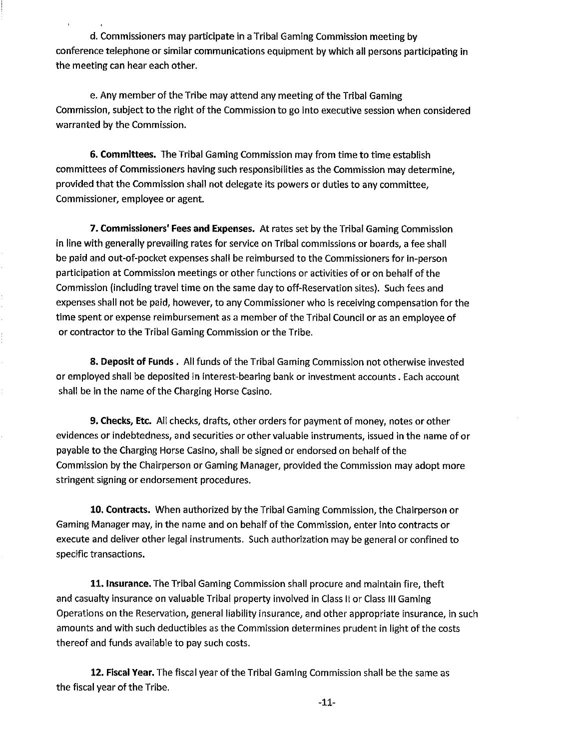d. Commissioners may participate in a Tribal Gaming Commission meeting by conference telephone or similar communications equipment by which all persons participating in the meeting can hear each other.

e. Any member of the Tribe may attend any meeting of the Tribal Gaming Commission, subject to the right of the Commission to go into executive session when considered warranted by the Commission.

**6.** Committees. The Tribal Gaming Commission may from time to time establish committees of Commissioners having such responsibilities as the Commission may determine, provided that the Commission shall not delegate its powers or duties to any committee, Commissioner, employee or agent.

**7.** Commissioners' Fees and Expenses. At rates set by the Tribal Gaming Commission in line with generally prevailing rates for service on Tribal commissions or boards, **a** fee shall be paid and out-of-pocket expenses shall be reimbursed to the Commissioners for in-person participation at Commission meetings or other functions or activities of or on behalf of the Commission (including travel time on the same day to off-Reservation sites). Such fees and expenses shall not be paid, however, to any Commissioner who is receiving compensation for the time spent or expense reimbursement as a member of the Tribal Council or as an employee of or contractor to the Tribal Gaming Commission or the Tribe.

**8.** Deposit of Funds. All funds of the Tribal Gaming Commission not otherwise invested or employed shall be deposited in interest-bearing bank or investment accounts. Each account shall be in the name of the Charging Horse Casino.

**9. Checks, Etc.** All checks, drafts, other orders for payment of money, notes or other evidences or indebtedness, and securities or other valuable instruments, issued in the name of or payable to the Charging Horse Casino, shall be signed or endorsed on behalf of the Commission by the Chairperson or Gaming Manager, provided the Commission may adopt more stringent signing or endorsement procedures.

10. Contracts. When authorized by the Tribal Gaming Commission, the Chairperson or Gaming Manager may, in the name and on behalf of the Commission, enter into contracts or execute and deliver other legal instruments. Such authorization may be general or confined to specific transactions.

**11.** Insurance. The Tribal Gaming Commission shall procure and maintain fire, theft and casualty insurance on valuable Tribal property involved in Class II or Class Ill Gaming Operations on the Reservation, general liability insurance, and other appropriate insurance, in such amounts and with such deductibies as the Commission determines prudent in light of the costs thereof and funds available to pay such costs.

12. Fiscal Year. The fiscal year of the Tribal Gaming Commission shall be the same as the fiscal year of the Tribe.

**-11-**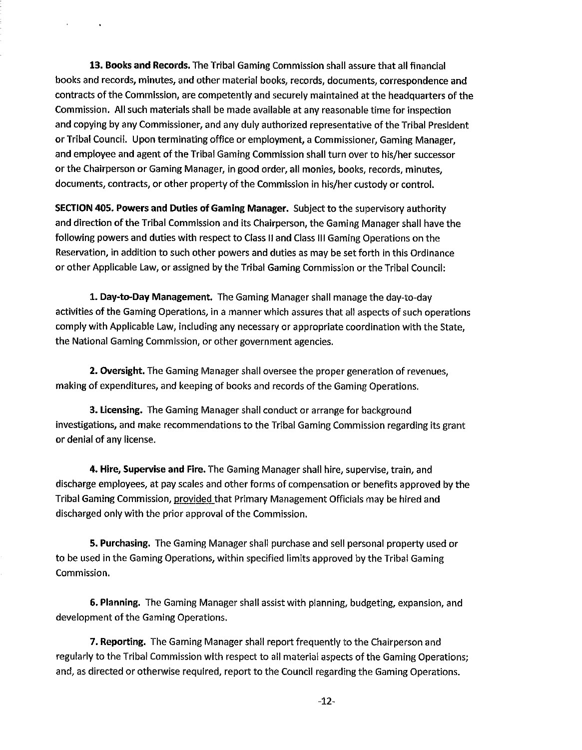13. Books and Records. The Tribal Gaming Commission shall assure that all financial books and records, minutes, and other material boolts, records, documents, correspondence and contracts of the Commission, are competently and securely maintained at the headquarters of the Commission. All such materials shall be made available at any reasonable time for inspection and copying by any Commissioner, and any duly authorized representative of the Tribal President or Tribal Council. Upon terminating office or employment, a Commissioner, Gaming Manager, and employee and agent of the Tribal Gaming Commission shall turn over to his/her successor or the Chairperson or Gaming Manager, in good order, all monies, boolts, records, minutes, documents, contracts, or other property of the Commission in his/her custody or control.

SECTION 405. Powers and Duties of Gaming Manager. Subject to the supervisory authority and direction of the Tribal Commission and its Chairperson, the Gaming Manager shall have the following powers and duties with respect to Class II and Class Ill Gaming Operations on the Reservation, in addition to such other powers and duties as may be set forth in this Ordinance or other Applicable Law, or assigned by the Tribal Gaming Commission or the Tribal Council:

1. Day-to-Day Management. The Gaming Manager shall manage the day-to-day activities of the Gaming Operations, in a manner which assures that all aspects of such operations comply with Applicable Law, including any necessary or appropriate coordination with the State, the National Gaming Commission, or other government agencies.

**2.** Oversight. The Gaming Manager shall oversee the proper generation of revenues, making of expenditures, and keeping of books and records of the Gaming Operations.

3. Licensing. The Gaming Manager shall conduct or arrange for background investigations, and make recommendations to the Tribal Gaming Commission regarding its grant or denial of any license.

4. Hire, Supervise and Fire. The Gaming Manager shall hire, supervise, train, and discharge employees, at pay scales and other forms of compensation or benefits approved by the Tribal Gaming Commission, provided that Primary Management Officials may be hired and discharged only with the prior approval of the Commission.

**5.** Purchasing. The Gaming Manager shall purchase and sell personal property used or to be used in the Gaming Operations, within specified limits approved by the Tribal Gaming Commission.

**6.** Planning. The Gaming Manager shall assist with planning, budgeting, expansion, and development of the Gaming Operations.

**7. Reporting.** The Gaming Manager shall report frequently to the Chairperson and regularly to the Tribal Commission with respect to all material aspects of the Gaming Operations; and, as directed or otherwise required, report to the Council regarding the Gaming Operations.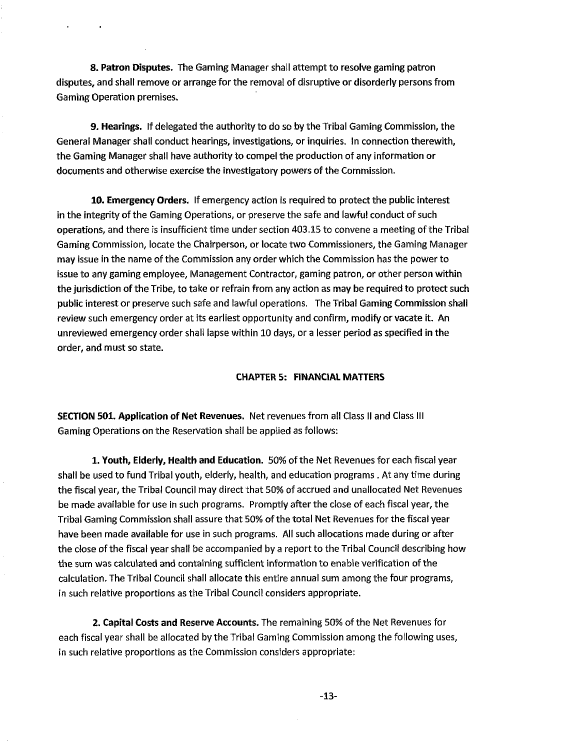**8.** Patron Disputes. The Gaming Manager shall attempt to resolve gaming patron disputes, and shall remove or arrange for the removal of disruptive or disorderly persons from Gaming Operation premises.

**9.** Hearings. If delegated the authority to do so by the Tribal Gaming Commission, the General Manager shall conduct hearings, investigations, or inquiries. In connection therewith, the Gaming Manager shall have authority to compel the production of any information or documents and otherwise exercise the investigatory powers of the Commission.

**10.** Emergency Orders. If emergency action is required to protect the public interest in the integrity of the Gaming Operations, or preserve the safe and lawful conduct of such operations, and there is insufficient time under section 403.15 to convene a meeting of the Tribal Gaming Commission, locate the Chairperson, or locate two Commissioners, the Gaming Manager may issue in the name of the Commission any order which the Commission has the power to issue to any gaming employee, Management Contractor, gaming patron, or other person within the jurisdiction of the Tribe, to take or refrain from any action as may be required to protect such public interest or preserve such safe and lawful operations. The Tribal Gaming Commission shall review such emergency order at its earliest opportunity and confirm, modify or vacate it. An unreviewed emergency order shall lapse within 10 days, or a lesser period as specified in the order, and must so state.

# CHAPTER **5:** FINANCIAL MATTERS

SECTION **501.** Application of Net Revenues. Net revenues from all Class II and Class Ill Gaming Operations on the Reservation shall be applied as follows:

**1.** Youth, Elderly, Health and Education. 50% of the Net Revenues for each fiscal year shall be used to fund Tribal youth, elderly, health, and education programs . At any time during the fiscal year, the Tribal Council may direct that 50% of accrued and unallocated Net Revenues be made available for use in such programs. Promptly after the close of each fiscal year, the Tribal Gaming Commission shall assure that 50% of the total Net Revenues for the fiscal year have been made available for use in such programs. All such allocations made during or after the close of the fiscal year shall be accompanied by a report to the Tribal Council describing how the sum was calculated and containing sufficient information to enable verification of the calculation. The Tribal Council shall allocate this entire annual sum among the four programs, in such relative proportions as the Tribal Council considers appropriate.

**2.** Capital Costs and Reserve Accounts. The remaining 50% of the Net Revenues for each fiscal year shall be allocated by the Tribal Gaming Commission among the following uses, in such relative proportions as the Commission considers appropriate: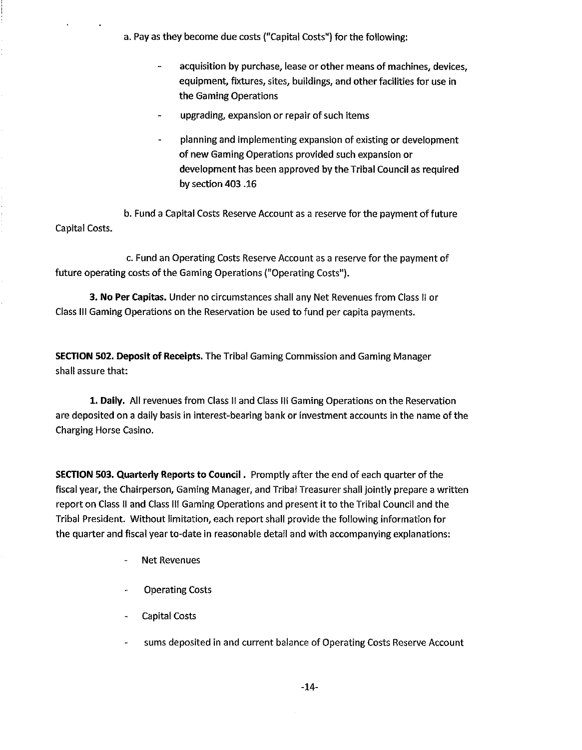a. Pay as they become due costs ("Capital Costs") for the following:

- acquisition by purchase, lease or other means of machines, devices, equipment, fixtures, sites, buildings, and other facilities for use in the Gaming Operations
- upgrading, expansion or repair of such items
- planning and implementing expansion of existing or development of new Gaming Operations provided such expansion or development has been approved by the Tribal Council as required by section 403 **.I6**

b. Fund a Capital Costs Reserve Account as a reserve for the payment of future Capital Costs.

c. Fund an Operating Costs Reserve Account as a reserve for the payment of future operating costs of the Gaming Operations ("Operating Costs").

3. No Per Capitas. Under no circumstances shall any Net Revenues from Class II or Class Ill Gaming Operations on the Reservation be used to fund per capita payments.

SECTION 502. Deposit of Receipts. The Tribal Gaming Commission and Gaming Manager shall assure that:

**1.** Daily. All revenues from Class II and Class Ill Gaming Operations on the Reservation are deposited on a daily basis in interest-bearing bank or investment accounts in the name of the Charging Horse Casino.

SECTION **503.** Quarterly Reports to Council. Promptly after the end of each quarter of the fiscal year, the Chairperson, Gaming Manager, and Tribal Treasurer shall jointly prepare a written report on Class II and Class Ill Gaming Operations and present it to the Tribal Council and the Tribal President. Without limitation, each report shall provide the following information for the quarter and fiscal year to-date in reasonable detail and with accompanying explanations:

- Net Revenues
- Operating Costs
- Capital Costs
- sums deposited in and current balance of Operating Costs Reserve Account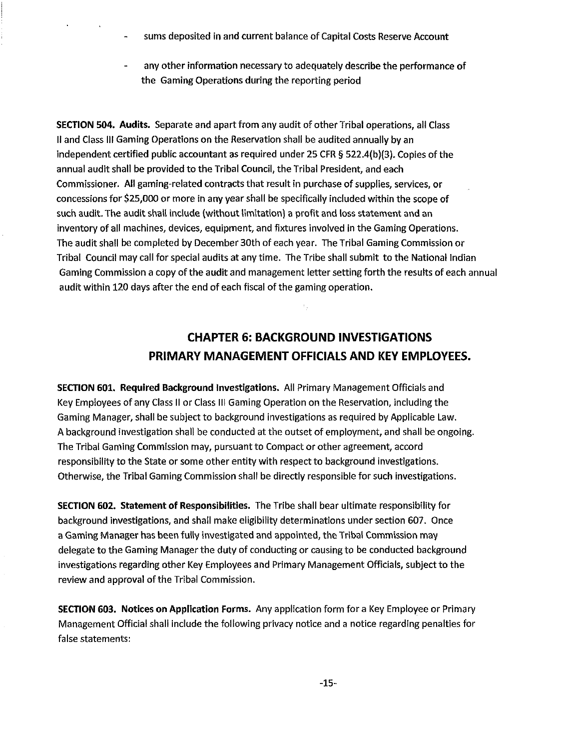- sums deposited in and current balance of Capital Costs Reserve Account
- any other information necessary to adequately describe the performance of the Gaming Operations during the reporting period

SECTION **504.** Audits. Separate and apart from any audit of other Tribal operations, all Class Ii and Class Ill Gaming Operations on the Reservation shall be audited annually by an independent certified public accountant as required under 25 CFR **5** 522.4(b)(3). Copies of the annual audit shall be provided to the Tribal Council, the Tribal President, and each Commissioner. All gaming-related contracts that result in purchase of supplies, services, or concessions for \$25,000 or more in any year shall be specifically included within the scope of such audit. The audit shall include (without limitation) a profit and loss statement and an inventory of all machines, devices, equipment, and fixtures involved in the Gaming Operations. The audit shall be completed by December 30th of each year. TheTribal Gaming Commission or Tribal Council may call for special audits at any time. The Tribe shall submit to the National Indian Gaming Commission a copy of the audit and management letter setting forth the results of each annual audit within 120 days after the end of each fiscal of the gaming operation.

# **CHAPTER 6: BACKGROUND INVESTIGATIONS PRIMARY MANAGEMENT OFFICIALS AND KEY EMPLOYEES.**

÷.

SECTION **601.** Required Background Investigations. All Primary Management Officials and Key Employees of any Class II or Class Ill Gaming Operation on the Reservation, including the Gaming Manager, shall be subject to background investigations as required by Applicable Law. A background investigation shall be conducted at the outset of employment, and shall be ongoing. The Tribal Gaming Commission may, pursuant to Compact or other agreement, accord responsibility to the State or some other entity with respect to background investigations. Otherwise, the Tribal Gaming Commission shall be directly responsible for such investigations.

SECTION **602.** Statement of Responsibilities. The Tribe shall bear ultimate responsibility for background investigations, and shall make eligibility determinations under section 607. Once a Gaming Manager has been fully investigated and appointed, the Tribal Commission may delegate to the Gaming Manager the duty of conducting or causing to be conducted background investigations regarding other Key Employees and Primary Management Officials, subject to the review and approval of the Tribal Commission.

SECTION **603.** Notices on Application Forms. Any application form for a Key Employee or Primary Management Official shall include the following privacy notice and a notice regarding penalties for false statements: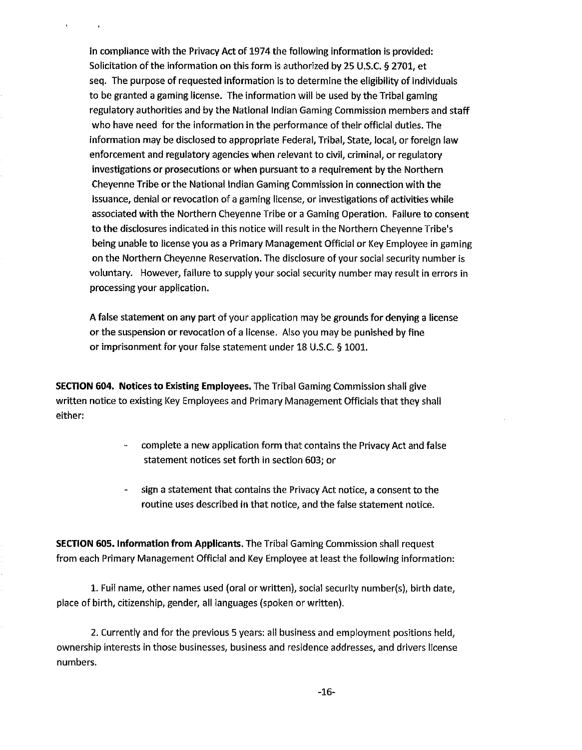in compliance with the Privacy Act of 1974 the following information is provided: Solicitation of the information on this form is authorized by 25 U.S.C. **5** 2701, et seq. The purpose of requested information is to determine the eligibility of individuals to be granted a gaming license. The information will be used by the Tribal gaming regulatory authorities and by the National Indian Gaming Commission members and staff who have need for the information in the performance of their official duties. The information may be disclosed to appropriate Federal, Tribal, State, local, or foreign law enforcement and regulatory agencies when relevant to civil, criminal, or regulatory investigations or prosecutions or when pursuant to a requirement by the Northern Cheyenne Tribe or the National Indian Gaming Commission in connection with the issuance, denial or revocation of a gaming license, or investigations of activities while associated with the Northern Cheyenne Tribe or a Gaming Operation. Failure to consent to the disclosures indicated in this notice will result in the Northern Cheyenne Tribe's being unable to license you as a Primary Management Official or Key Employee in gaming on the Northern Cheyenne Reservation. The disclosure of your social security number is voluntary. However, failure to supply your social security number may result in errors in processing your application.

A false statement on any part of your application may be grounds for denying a license or the suspension or revocation of a license. Also you may be punished by fine or imprisonment for your false statement under 18 U.S.C. **5** 1001.

SECTION **604.** Notices to Existing Employees. The Tribal Gaming Commission shall give written notice to existing Key Employees and Primary Management Officials that they shall either:

- complete a new application form that contains the Privacy Act and false statement notices set forth in section 603; or
- sign a statement that contains the Privacy Act notice, a consent to the routine uses described in that notice, and the false statement notice.

SECTION **605.** Information from Applicants. The Tribal Gaming Commission shall request from each Primary Management Official and Key Employee at least the following information:

1. Full name, other names used (oral or written), social security number(s), birth date, place of birth, citizenship, gender, all languages (spoken or written).

2. Currently and for the previous 5 years: all business and employment positions held, ownership interests in those businesses, business and residence addresses, and drivers license numbers.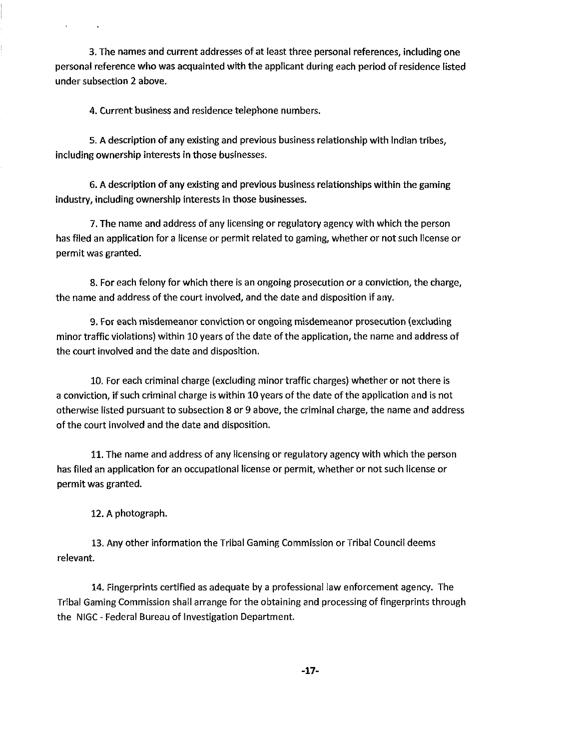3. The names and current addresses of at least three personal references, including one personal reference who was acquainted with the applicant during each period of residence listed under subsection 2 above.

4. Current business and residence telephone numbers.

5. A description of any existing and previous business relationship with Indian tribes, including ownership interests in those businesses.

6. A description of any existing and previous business relationships within the gaming industry, including ownership interests in those businesses.

7. The name and address of any licensing or regulatory agency with which the person has filed an application for a license or permit related to gaming, whether or not such license or permit was granted.

8. For each felony for which there is an ongoing prosecution or a conviction, the charge, the name and address of the court involved, and the date and disposition if any.

9. For each misdemeanor conviction or ongoing misdemeanor prosecution (excluding minor traffic violations) within 10 years of the date of the application, the name and address of the court involved and the date and disposition.

10. For each criminal charge (excluding minor traffic charges) whether or not there is a conviction, if such criminal charge is within 10 years of the date of the application and is not otherwise listed pursuant to subsection 8 or 9 above, the criminal charge, the name and address of the court involved and the date and disposition.

11. The name and address of any licensing or regulatory agency with which the person has filed an appiication for an occupational license or permit, whether or not such license or permit was granted.

12. A photograph.

13. Any other information the Tribal Gaming Commission or Tribal Council deems relevant.

14. Fingerprints certified as adequate by a professional law enforcement agency. The Tribal Gaming Commission shall arrange for the obtaining and processing of fingerprints through the NlGC - Federal Bureau of Investigation Department.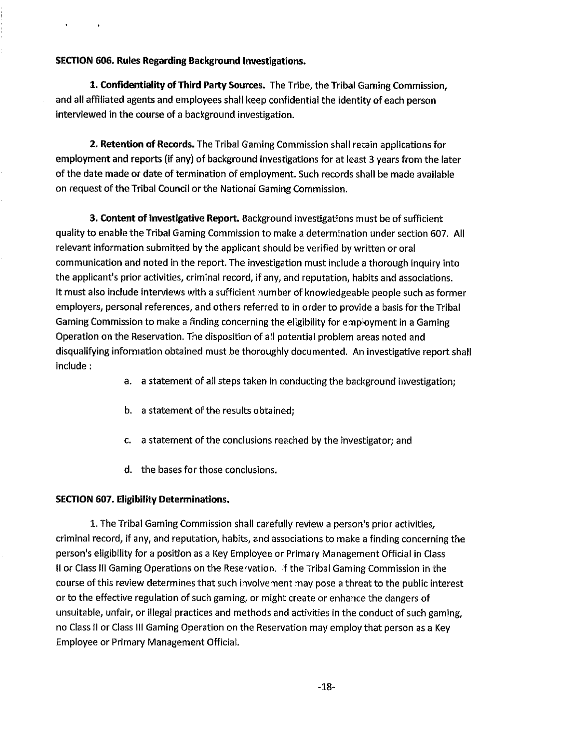# SECTION **606.** Rules Regarding Background Investigations.

1. Confidentiality of Third Party Sources. The Tribe, the Tribal Gaming Commission, and all affiliated agents and employees shall keep confidential the identity of each person interviewed in the course of a background investigation.

**2.** Retention of Records. The Tribal Gaming Commission shall retain applications for employment and reports (if any) of background investigations for at least 3 years from the later of the date made or date of termination of employment. Such records shall be made available on request of the Tribal Council or the National Gaming Commission.

3. Content of Investigative Report. Background investigations must be of sufficient quality to enable the Tribal Gaming Commission to make a determination under section 607. All relevant information submitted by the applicant should be verified by written or oral communication and noted in the report. The investigation must include a thorough inquiry into the applicant's prior activities, criminal record, if any, and reputation, habits and associations. It must also include interviews with a sufficient number of knowledgeable people such as former employers, personal references, and others referred to in order to provide a basis for the Tribal Gaming Commission to make a finding concerning the eligibility for employment in a Gaming Operation on the Reservation. The disposition of all potential problem areas noted and disqualifying information obtained must be thoroughly documented. An investigative report shall include :

- a. a statement of all steps taken in conducting the background investigation;
- b. a statement of the results obtained;
- c. a statement of the conclusions reached by the investigator; and
- d. the bases for those conclusions.

#### SECTION **607.** Eligibility Determinations.

1. The Tribal Gaming Commission shall carefully review a person's prior activities, criminal record, if any, and reputation, habits, and associations to make a finding concerning the person's eligibility for a position as a Key Employee or Primary Management Official in Class II or Class Ill Gaming Operations on the Reservation. If the Tribal Gaming Commission in the course of this review determines that such involvement may pose a threat to the public interest or to the effective regulation of such gaming, or might create or enhance the dangers of unsuitable, unfair, or illegal practices and methods and activities in the conduct of such gaming, no Class II or Class Ill Gaming Operation on the Reservation may employ that person as a Key Employee or Primary Management Official.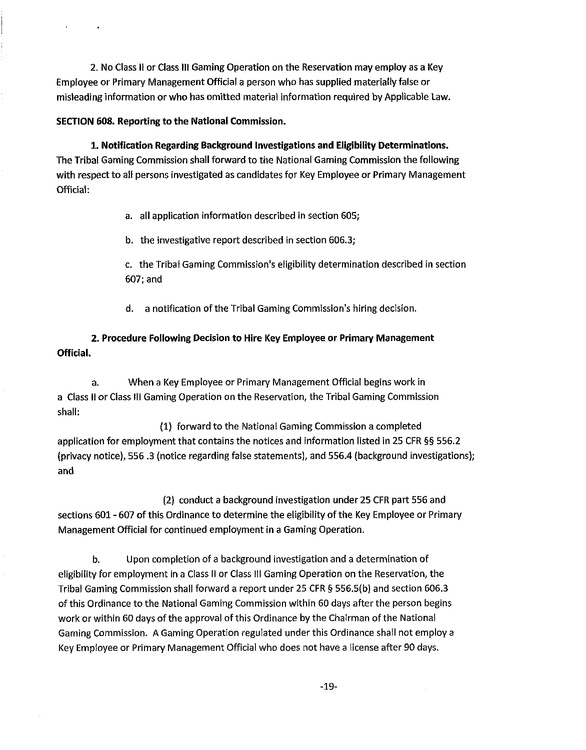2. No Class II or Class III Gaming Operation on the Reservation may employ as a Key Employee or Primaty Management Official a person who has supplied materially false or misleading information or who has omitted material information required by Applicable Law.

# SECTION **608.** Reporting to the National Commission.

**2.** Notification Regarding Background Investigations and Eligibility Determinations. The Tribal Gaming Commission shall forward to the National Gaming Commission the following with respect to all persons investigated as candidates for Key Employee or Primary Management Official:

a. all application information described in section 605;

b. the investigative report described in section 606.3;

c. the Tribal Gaming Commission's eligibility determination described in section 607; and

d. a notification of the Tribal Gaming Commission's hiring decision.

**2.** Procedure Following Decision to Hire Key Employee or Primary Management Official.

a. When a Key Employee or Primary Management Official begins work in a Class II or Class Ill Gaming Operation on the Reservation, the Tribal Gaming Commission shall:

(1) forward to the National Gaming Commission a completed application for employment that contains the notices and information listed in 25 CFR §§ 556.2 (privacy notice), 556.3 (notice regarding false statements), and 556.4 (background investigations); and

(2) conduct a background investigation under 25 CFR part 556 and sections 601 - 607 of this Ordinance to determine the eligibility of the Key Employee or Primary Management Official for continued employment in a Gaming Operation.

**b.** Upon completion of a background investigation and a determination of eligibility for employment in a Class II or Class Ill Gaming Operation on the Reservation, the Tribal Gaming Commission shall forward a report under 25 CFR **5** 556.5(b) and section 606.3 of this Ordinance to the National Gaming Commission within 60 days after the person begins work or within 60 days of the approval of this Ordinance by the Chairman of the National Gaming Commission. A Gaming Operation regulated under this Ordinance shall not employ a Key Employee or Primary Management Official who does not have a license after 90 days.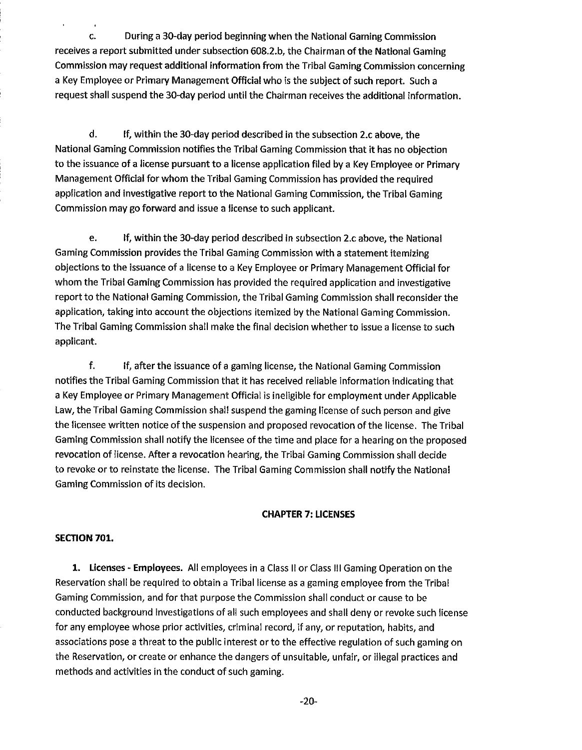c. During a 30-day period beginning when the National Gaming Commission receives a report submitted under subsection 608.2.b, the Chairman of the National Gaming Commission may request additional information from the Tribal Gaming Commission concerning a Key Employee or Primary Management Official who is the subject of such report. Such a request shall suspend the 30-day period until the Chairman receives the additional information.

d. If, within the 30-day period described in the subsection 2.c above, the National Gaming Commission notifies the Tribal Gaming Commission that it has no objection to the issuance of a license pursuant to a license application filed by a Key Employee or Primary Management Official for whom the Tribal Gaming Commission has provided the required application and investigative report to the National Gaming Commission, the Tribal Gaming Commission may go forward and issue a license to such applicant.

e. if, within the 30-day period described in subsection 2.c above, the National Gaming Commission provides the Tribal Gaming Commission with a statement itemizing objections to the issuance of a license to a Key Employee or Primary Management Official for whom the Tribal Gaming Commission has provided the required application and investigative report to the National Gaming Commission, the Tribal Gaming Commission shall reconsider the application, taking into account the objections itemized by the National Gaming Commission. The Tribal Gaming Commission shall make the final decision whether to issue a license to such applicant.

f. If, after the issuance of a gaming license, the National Gaming Commission notifies the Tribal Gaming Commission that it has received reliable information indicating that a Key Employee or Primary Management Official is ineligible for employment under Applicable Law, the Tribal Gaming Commission shall suspend the gaming license of such person and give the licensee written notice of the suspension and proposed revocation of the license. The Tribal Gaming Commission shall notify the licensee of the time and place for a hearing on the proposed revocation of license. After a revocation hearing, the Tribal Gaming Commission shall decide to revoke or to reinstate the license. The Tribal Gaming Commission shall notify the National Gaming Commission of its decision.

# **CHAPTER 7: LICENSES**

# **SECTION 701.**

**1.** Licenses - Employees. All employees in a Class II or Class Ill Gaming Operation on the Reservation shall be required to obtain a Tribal license as a gaming employee from the Tribal Gaming Commission, and for that purpose the Commission shall conduct or cause to be conducted background investigations of all such employees and shall deny or revoke such license for any employee whose prior activities, criminal record, if any, or reputation, habits, and associations pose a threat to the public interest or to the effective regulation of such gaming on the Reservation, or create or enhance the dangers of unsuitable, unfair, or illegal practices and methods and activities in the conduct of such gaming.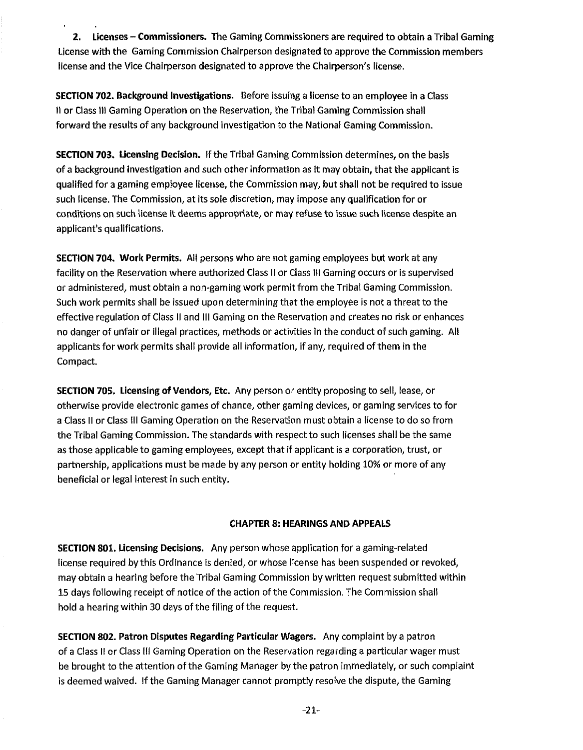**2.** Licenses - Commissioners. The Gaming Commissioners are required to obtain a Tribal Gaming License with the Gaming Commission Chairperson designated to approve the Commission members license and the Vice Chairperson designated to approve the Chairperson's license.

SECTION **702.** Background Investigations. Before issuing a license to an employee in a Class I1 or Class 111 Gaming Operation on the Reservation, the Tribal Gaming Commission shall forward the results of any background investigation to the National Gaming Commission.

SECTION **703.** Licensing Decision. If the Tribal Gaming Commission determines, on the basis of a background investigation and such other information as it may obtain, that the applicant is qualified for a gaming employee license, the Commission may, but shall not be required to issue such license. The Commission, at its sole discretion, may impose any qualification for or conditions on such license it deems appropriate, or may refuse to issue such license despite an applicant's qualifications.

**SECTION 704. Work Permits.** All persons who are not gaming employees but work at any facility on the Reservation where authorized Class II or Class III Gaming occurs or is supervised or administered, must obtain a non-gaming work permit from the Tribai Gaming Commission. Such work permits shall be issued upon determining that the employee is not a threat to the effective regulation of Class II and Ill Gaming on the Reservation and creates no risk or enhances no danger of unfair or illegal practices, methods or activities in the conduct of such gaming. All applicants for work permits shall provide ail information, if any, required of them in the Compact.

SECTION **705.** Licensing **of** Vendors, Etc. Any person or entity proposing to sell, lease, or otherwise provide electronic games of chance, other gaming devices, or gaming services to for a Class II or Class Ill Gaming Operation on the Reservation must obtain a license to do so from the Tribal Gaming Commission. The standards with respect to such licenses shall be the same as those applicable to gaming employees, except that if applicant is a corporation, trust, or partnership, applications must be made by any person or entity holding 10% or more of any beneficial or legal interest in such entity.

# CHAPTER **8:** HEARINGS AND APPEALS

SECTION **801.** Licensing Decisions. Any person whose application for a gaming-related license required by this Ordinance is denied, or whose license has been suspended or revoked, may obtain a hearing before the Tribal Gaming Commission by written request submitted within 15 days following receipt of notice of the action of the Commission. The Commission shall hold a hearing within 30 days of the filing of the request.

SECTION **802.** Patron Disputes Regarding Particular Wagers. Any complaint by a patron of a Class ll or Class Ill Gaming Operation on the Reservation regarding a particular wager must be brought to the attention of the Gaming Manager by the patron immediately, or such complaint is deemed waived. If the Gaming Manager cannot promptly resolve the dispute, the Gaming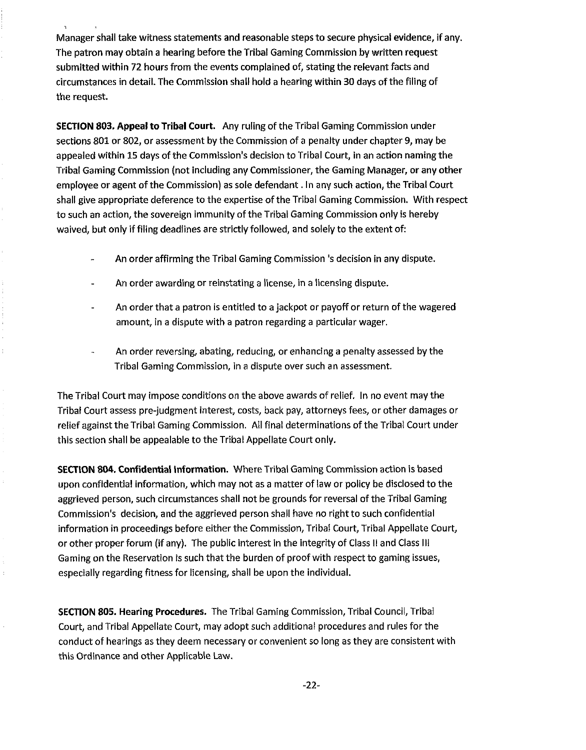Manager shall take witness statements and reasonable steps to secure physical evidence, if any. The patron may obtain a hearing before the Tribal Gaming Commission by written request submitted within 72 hours from the events complained of, stating the relevant facts and circumstances in detail. The Commission shall hold a hearing within 30 days of the filing of the request.

SECTION **803.** Appeal to Tribal Court. Any ruling of the Tribal Gaming Commission under sections 801 or 802, or assessment by the Commission of a penalty under chapter 9, may be appealed within 15 days of the Commission's decision to Tribal Court, in an action naming the Tribal Gaming Commission (not including any Commissioner, the Gaming Manager, or any other employee or agent of the Commission) as sole defendant. In any such action, the Tribal **Court**  shall give appropriate deference to the expertise of the Tribal Gaming Commission. With respect to such an action, the sovereign immunity of the Tribal Gaming Commission only is hereby waived, but only if filing deadlines are strictly followed, and solely to the extent of:

- An order affirming the Tribal Gaming Commission 's decision in any dispute.
- An order awarding or reinstating a license, in a licensing dispute.
- An order that a patron is entitled to a jackpot or payoff or return of the wagered amount, in a dispute with a patron regarding a particular wager.
- An order reversing, abating, reducing, or enhancing a penalty assessed by the Tribal Gaming Commission, in a dispute over such an assessment.

The Tribal Court may impose conditions on the above awards of relief. In no event may the Tribal Court assess pre-jndgment interest, costs, back pay, attorneys fees, or other damages or relief against the Tribal Gaming Commission. All final determinations of the Tribal Court under this section shall be appealable to the Tribal Appellate Court only.

SECTION **804.** Confidential Information. Where Tribal Gaming Commission action is based upon confidential information, which may not as a matter of law or policy be disclosed to the aggrieved person, such circumstances shall not be grounds for reversal of the Tribal Gaming Commission's decision, and the aggrieved person shall have no right to such confidential information in proceedings before either the Commission, Tribal Court, Tribal Appellate Court, or other proper forum (if any). The public interest in the integrity of Class II and Class III Gaming on the Reservation is such that the burden of proof with respect to gaming issues, especially regarding fitness for licensing, shall be upon the individual.

SECTION **805.** Hearing Procedures. The Tribal Gaming Commission, Tribal Council, Tribal Court, and Tribal Appellate Court, may adopt such additional procedures and rules for the conduct of hearings as they deem necessary or convenient so long as they are consistent with this Ordinance and other Applicable Law.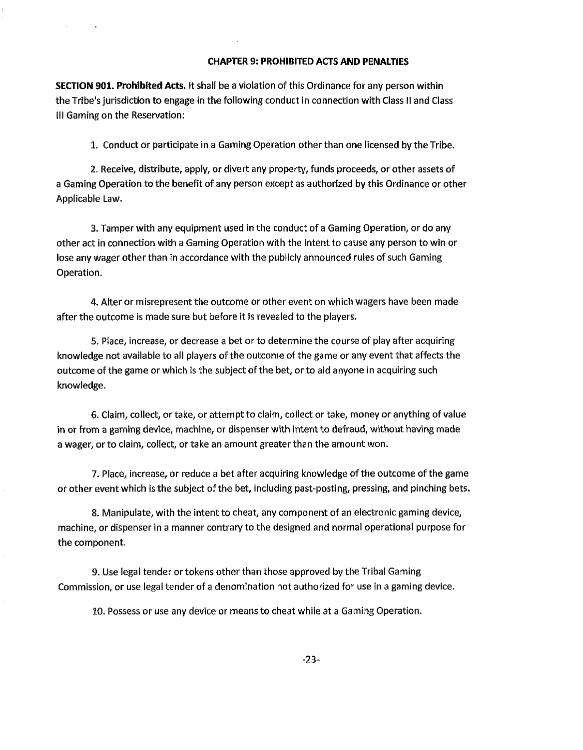# CHAPTER **9:** PROHIBITED ACTS AND PENALTIES

SECTION **901.** Prohibited Acts. It shall be a violation of this Ordinance for any person within the Tribe's jurisdiction to engage in the following conduct in connection with Class II and Class Ill Gaming on the Reservation:

1. Conduct or participate in a Gaming Operation other than one licensed by the Tribe.

2. Receive, distribute, apply, or divert any property, funds proceeds, or other assets of a Gaming Operation to the benefit of any person except as authorized by this Ordinance or other Applicable Law.

3. Tamper with any equipment used in the conduct of a Gaming Operation, or do any other act in connection with a Gaming Operation with the intent to cause any person to win or lose any wager other than in accordance with the publicly announced rules of such Gaming Operation.

4. Alter or misrepresent the outcome or other event on which wagers have been made after the outcome is made sure but before it is revealed to the players.

5. Place, increase, or decrease a bet or to determine the course of play after acquiring knowledge not available to all players of the outcome of the game or any event that affects the outcome of the game or which is the subject of the bet, or to aid anyone in acquiring such knowledge.

6. Claim, collect, or take, or attempt to claim, collect or take, money or anything of value in or from a gaming device, machine, or dispenser with intent to defraud, without having made a wager, or to claim, collect, or take an amount greater than the amount won.

7. Place, increase, or reduce a bet after acquiring knowledge of the outcome of the game or other event which is the subject of the bet, including past-posting, pressing, and pinching bets.

8. Manipulate, with the intent to cheat, any component of an electronic gaming device, machine, or dispenser in a manner contrary to the designed and normal operational purpose for the component.

**9. Use legal tender or tokens other than those approved by the Tribal Gaming** Commission, or use legal tender of a denomination not authorized for use in a gaming device.

10. Possess or use any device or means to cheat while at a Gaming Operation.